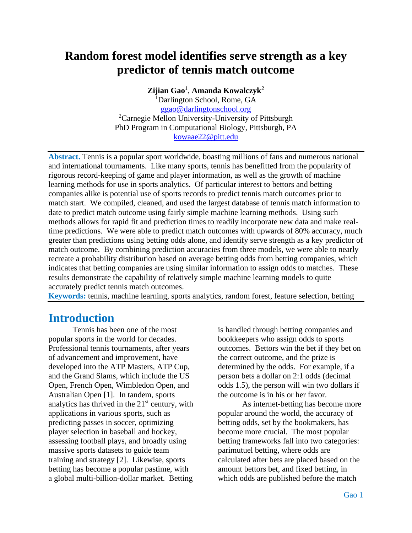# **Random forest model identifies serve strength as a key predictor of tennis match outcome**

**Zijian Gao**<sup>1</sup> , **Amanda Kowalczyk**<sup>2</sup>

<sup>1</sup>Darlington School, Rome, GA [ggao@darlingtonschool.org](mailto:ggao@darlingtonschool.org) <sup>2</sup>Carnegie Mellon University-University of Pittsburgh PhD Program in Computational Biology, Pittsburgh, PA [kowaae22@pitt.edu](mailto:kowaae22@pitt.edu)

**Abstract.** Tennis is a popular sport worldwide, boasting millions of fans and numerous national and international tournaments. Like many sports, tennis has benefitted from the popularity of rigorous record-keeping of game and player information, as well as the growth of machine learning methods for use in sports analytics. Of particular interest to bettors and betting companies alike is potential use of sports records to predict tennis match outcomes prior to match start. We compiled, cleaned, and used the largest database of tennis match information to date to predict match outcome using fairly simple machine learning methods. Using such methods allows for rapid fit and prediction times to readily incorporate new data and make realtime predictions. We were able to predict match outcomes with upwards of 80% accuracy, much greater than predictions using betting odds alone, and identify serve strength as a key predictor of match outcome. By combining prediction accuracies from three models, we were able to nearly recreate a probability distribution based on average betting odds from betting companies, which indicates that betting companies are using similar information to assign odds to matches. These results demonstrate the capability of relatively simple machine learning models to quite accurately predict tennis match outcomes.

**Keywords:** tennis, machine learning, sports analytics, random forest, feature selection, betting

#### **Introduction**

Tennis has been one of the most popular sports in the world for decades. Professional tennis tournaments, after years of advancement and improvement, have developed into the ATP Masters, ATP Cup, and the Grand Slams, which include the US Open, French Open, Wimbledon Open, and Australian Open [1]. In tandem, sports analytics has thrived in the  $21<sup>st</sup>$  century, with applications in various sports, such as predicting passes in soccer, optimizing player selection in baseball and hockey, assessing football plays, and broadly using massive sports datasets to guide team training and strategy [2]. Likewise, sports betting has become a popular pastime, with a global multi-billion-dollar market. Betting

is handled through betting companies and bookkeepers who assign odds to sports outcomes. Bettors win the bet if they bet on the correct outcome, and the prize is determined by the odds. For example, if a person bets a dollar on 2:1 odds (decimal odds 1.5), the person will win two dollars if the outcome is in his or her favor.

As internet-betting has become more popular around the world, the accuracy of betting odds, set by the bookmakers, has become more crucial. The most popular betting frameworks fall into two categories: parimutuel betting, where odds are calculated after bets are placed based on the amount bettors bet, and fixed betting, in which odds are published before the match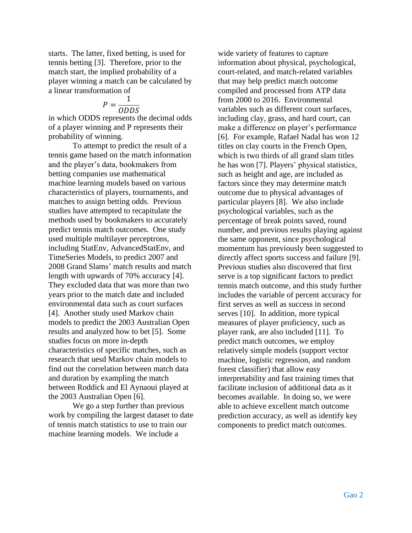starts. The latter, fixed betting, is used for tennis betting [3]. Therefore, prior to the match start, the implied probability of a player winning a match can be calculated by a linear transformation of

$$
P = \frac{1}{ODDS}
$$

in which ODDS represents the decimal odds of a player winning and P represents their probability of winning.

To attempt to predict the result of a tennis game based on the match information and the player's data, bookmakers from betting companies use mathematical machine learning models based on various characteristics of players, tournaments, and matches to assign betting odds. Previous studies have attempted to recapitulate the methods used by bookmakers to accurately predict tennis match outcomes. One study used multiple multilayer perceptrons, including StatEnv, AdvancedStatEnv, and TimeSeries Models, to predict 2007 and 2008 Grand Slams' match results and match length with upwards of 70% accuracy [4]. They excluded data that was more than two years prior to the match date and included environmental data such as court surfaces [4]. Another study used Markov chain models to predict the 2003 Australian Open results and analyzed how to bet [5]. Some studies focus on more in-depth characteristics of specific matches, such as research that uesd Markov chain models to find out the correlation between match data and duration by exampling the match between Roddick and El Aynaoui played at the 2003 Australian Open [6].

We go a step further than previous work by compiling the largest dataset to date of tennis match statistics to use to train our machine learning models. We include a

wide variety of features to capture information about physical, psychological, court-related, and match-related variables that may help predict match outcome compiled and processed from ATP data from 2000 to 2016. Environmental variables such as different court surfaces, including clay, grass, and hard court, can make a difference on player's performance [6]. For example, Rafael Nadal has won 12 titles on clay courts in the French Open, which is two thirds of all grand slam titles he has won [7]. Players' physical statistics, such as height and age, are included as factors since they may determine match outcome due to physical advantages of particular players [8]. We also include psychological variables, such as the percentage of break points saved, round number, and previous results playing against the same opponent, since psychological momentum has previously been suggested to directly affect sports success and failure [9]. Previous studies also discovered that first serve is a top significant factors to predict tennis match outcome, and this study further includes the variable of percent accuracy for first serves as well as success in second serves [10]. In addition, more typical measures of player proficiency, such as player rank, are also included [11]. To predict match outcomes, we employ relatively simple models (support vector machine, logistic regression, and random forest classifier) that allow easy interpretability and fast training times that facilitate inclusion of additional data as it becomes available. In doing so, we were able to achieve excellent match outcome prediction accuracy, as well as identify key components to predict match outcomes.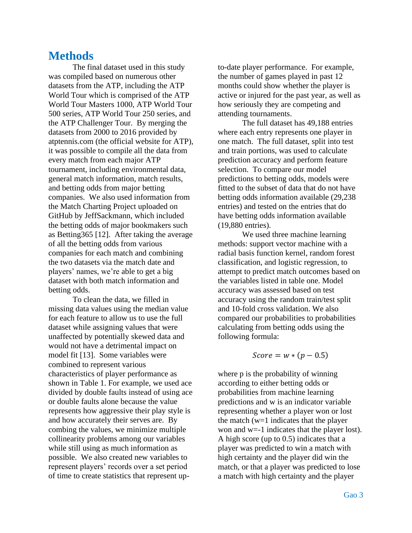### **Methods**

The final dataset used in this study was compiled based on numerous other datasets from the ATP, including the ATP World Tour which is comprised of the ATP World Tour Masters 1000, ATP World Tour 500 series, ATP World Tour 250 series, and the ATP Challenger Tour. By merging the datasets from 2000 to 2016 provided by atptennis.com (the official website for ATP), it was possible to compile all the data from every match from each major ATP tournament, including environmental data, general match information, match results, and betting odds from major betting companies. We also used information from the Match Charting Project uploaded on GitHub by JeffSackmann, which included the betting odds of major bookmakers such as Betting365 [12]. After taking the average of all the betting odds from various companies for each match and combining the two datasets via the match date and players' names, we're able to get a big dataset with both match information and betting odds.

To clean the data, we filled in missing data values using the median value for each feature to allow us to use the full dataset while assigning values that were unaffected by potentially skewed data and would not have a detrimental impact on model fit [13]. Some variables were combined to represent various characteristics of player performance as shown in Table 1. For example, we used ace divided by double faults instead of using ace or double faults alone because the value represents how aggressive their play style is and how accurately their serves are. By combing the values, we minimize multiple collinearity problems among our variables while still using as much information as possible. We also created new variables to represent players' records over a set period of time to create statistics that represent upto-date player performance. For example, the number of games played in past 12 months could show whether the player is active or injured for the past year, as well as how seriously they are competing and attending tournaments.

The full dataset has 49,188 entries where each entry represents one player in one match. The full dataset, split into test and train portions, was used to calculate prediction accuracy and perform feature selection. To compare our model predictions to betting odds, models were fitted to the subset of data that do not have betting odds information available (29,238 entries) and tested on the entries that do have betting odds information available (19,880 entries).

We used three machine learning methods: support vector machine with a radial basis function kernel, random forest classification, and logistic regression, to attempt to predict match outcomes based on the variables listed in table one. Model accuracy was assessed based on test accuracy using the random train/test split and 10-fold cross validation. We also compared our probabilities to probabilities calculating from betting odds using the following formula:

$$
Score = w * (p - 0.5)
$$

where p is the probability of winning according to either betting odds or probabilities from machine learning predictions and w is an indicator variable representing whether a player won or lost the match (w=1 indicates that the player won and w=-1 indicates that the player lost). A high score (up to 0.5) indicates that a player was predicted to win a match with high certainty and the player did win the match, or that a player was predicted to lose a match with high certainty and the player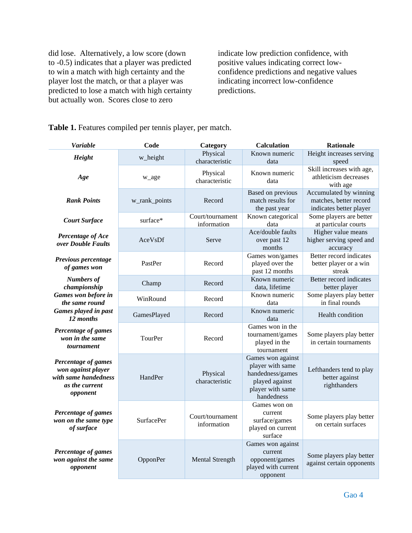did lose. Alternatively, a low score (down to -0.5) indicates that a player was predicted to win a match with high certainty and the player lost the match, or that a player was predicted to lose a match with high certainty but actually won. Scores close to zero

indicate low prediction confidence, with positive values indicating correct lowconfidence predictions and negative values indicating incorrect low-confidence predictions.

| <b>Variable</b>                                                                                 | Code                                                             | Category                        | <b>Calculation</b>                                                                                            | <b>Rationale</b>                                                            |  |
|-------------------------------------------------------------------------------------------------|------------------------------------------------------------------|---------------------------------|---------------------------------------------------------------------------------------------------------------|-----------------------------------------------------------------------------|--|
| Height                                                                                          | w_height                                                         | Physical<br>characteristic      | Known numeric<br>data                                                                                         | Height increases serving<br>speed                                           |  |
| Age                                                                                             | w_age                                                            | Physical<br>characteristic      | Known numeric<br>data                                                                                         | Skill increases with age,<br>athleticism decreases<br>with age              |  |
| <b>Rank Points</b>                                                                              | w_rank_points                                                    | Record                          | Based on previous<br>match results for<br>the past year                                                       | Accumulated by winning<br>matches, better record<br>indicates better player |  |
| <b>Court Surface</b>                                                                            | $\overline{\text{Court}}$ /tournament<br>surface*<br>information |                                 | Known categorical<br>data                                                                                     | Some players are better<br>at particular courts                             |  |
| Percentage of Ace<br>over Double Faults                                                         | AceVsDf                                                          | Serve                           | Ace/double faults<br>over past 12<br>months                                                                   | Higher value means<br>higher serving speed and<br>accuracy                  |  |
| Previous percentage<br>of games won                                                             | PastPer                                                          | Record                          | Games won/games<br>played over the<br>past 12 months                                                          | Better record indicates<br>better player or a win<br>streak                 |  |
| <b>Numbers of</b><br>championship                                                               | Champ                                                            | Record                          | Known numeric<br>data, lifetime                                                                               | Better record indicates<br>better player                                    |  |
| Games won before in<br>the same round<br>Games played in past<br>12 months                      | WinRound                                                         | Record                          | Known numeric<br>data                                                                                         | Some players play better<br>in final rounds                                 |  |
|                                                                                                 | GamesPlayed                                                      | Record                          | Known numeric<br>data                                                                                         | Health condition                                                            |  |
| Percentage of games<br>won in the same<br>tournament                                            | <b>TourPer</b>                                                   | Record                          | Games won in the<br>tournament/games<br>played in the<br>tournament                                           | Some players play better<br>in certain tournaments                          |  |
| Percentage of games<br>won against player<br>with same handedness<br>as the current<br>opponent | HandPer                                                          | Physical<br>characteristic      | Games won against<br>player with same<br>handedness/games<br>played against<br>player with same<br>handedness | Lefthanders tend to play<br>better against<br>righthanders                  |  |
| Percentage of games<br>won on the same type<br>of surface                                       | <b>SurfacePer</b>                                                | Court/tournament<br>information | Games won on<br>current<br>surface/games<br>played on current<br>surface                                      | Some players play better<br>on certain surfaces                             |  |
| Percentage of games<br>won against the same<br>opponent                                         | OpponPer                                                         | <b>Mental Strength</b>          | Games won against<br>current<br>opponent/games<br>played with current<br>opponent                             | Some players play better<br>against certain opponents                       |  |

**Table 1.** Features compiled per tennis player, per match.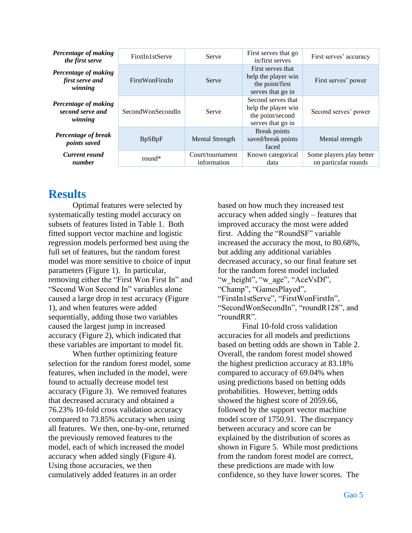| <b>Percentage of making</b><br>the first serve             | FirstIn1stServe   | Serve                           | First serves that go<br>in/first serves                                            | First serves' accuracy                           |  |
|------------------------------------------------------------|-------------------|---------------------------------|------------------------------------------------------------------------------------|--------------------------------------------------|--|
| Percentage of making<br>first serve and<br>winning         | FirstWonFirstIn   | Serve                           | First serves that<br>help the player win<br>the point/first<br>serves that go in   | First serves' power                              |  |
| <b>Percentage of making</b><br>second serve and<br>winning | SecondWonSecondIn | Serve                           | Second serves that<br>help the player win<br>the point/second<br>serves that go in | Second serves' power                             |  |
| Percentage of break<br><i>points saved</i>                 | <b>BpSBpF</b>     | <b>Mental Strength</b>          | Break points<br>saved/break points<br>faced                                        | Mental strength                                  |  |
| <b>Current round</b><br>number                             | round $*$         | Court/tournament<br>information | Known categorical<br>data                                                          | Some players play better<br>on particular rounds |  |

### **Results**

Optimal features were selected by systematically testing model accuracy on subsets of features listed in Table 1. Both fitted support vector machine and logistic regression models performed best using the full set of features, but the random forest model was more sensitive to choice of input parameters (Figure 1). In particular, removing either the "First Won First In" and "Second Won Second In" variables alone caused a large drop in test accuracy (Figure 1), and when features were added sequentially, adding those two variables caused the largest jump in increased accuracy (Figure 2), which indicated that these variables are important to model fit.

When further optimizing feature selection for the random forest model, some features, when included in the model, were found to actually decrease model test accuracy (Figure 3). We removed features that decreased accuracy and obtained a 76.23% 10-fold cross validation accuracy compared to 73.85% accuracy when using all features. We then, one-by-one, returned the previously removed features to the model, each of which increased the model accuracy when added singly (Figure 4). Using those accuracies, we then cumulatively added features in an order

based on how much they increased test accuracy when added singly – features that improved accuracy the most were added first. Adding the "RoundSF" variable increased the accuracy the most, to 80.68%, but adding any additional variables decreased accuracy, so our final feature set for the random forest model included "w\_height", "w\_age", "AceVsDf", "Champ", "GamesPlayed", "FirstIn1stServe", "FirstWonFirstIn", "SecondWonSecondIn", "roundR128", and "roundRR".

Final 10-fold cross validation accuracies for all models and predictions based on betting odds are shown in Table 2. Overall, the random forest model showed the highest prediction accuracy at 83.18% compared to accuracy of 69.04% when using predictions based on betting odds probabilities. However, betting odds showed the highest score of 2059.66, followed by the support vector machine model score of 1750.91. The discrepancy between accuracy and score can be explained by the distribution of scores as shown in Figure 5. While most predictions from the random forest model are correct, these predictions are made with low confidence, so they have lower scores. The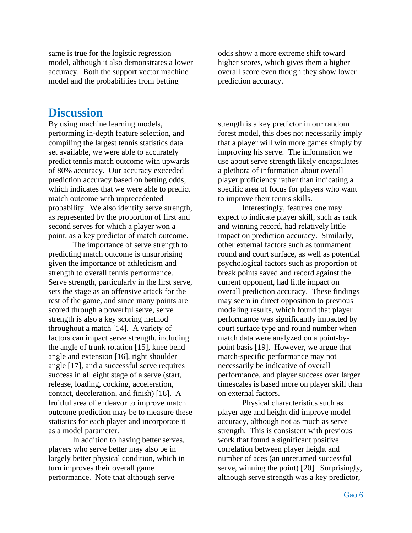same is true for the logistic regression model, although it also demonstrates a lower accuracy. Both the support vector machine model and the probabilities from betting

odds show a more extreme shift toward higher scores, which gives them a higher overall score even though they show lower prediction accuracy.

### **Discussion**

By using machine learning models, performing in-depth feature selection, and compiling the largest tennis statistics data set available, we were able to accurately predict tennis match outcome with upwards of 80% accuracy. Our accuracy exceeded prediction accuracy based on betting odds, which indicates that we were able to predict match outcome with unprecedented probability. We also identify serve strength, as represented by the proportion of first and second serves for which a player won a point, as a key predictor of match outcome.

The importance of serve strength to predicting match outcome is unsurprising given the importance of athleticism and strength to overall tennis performance. Serve strength, particularly in the first serve, sets the stage as an offensive attack for the rest of the game, and since many points are scored through a powerful serve, serve strength is also a key scoring method throughout a match [14]. A variety of factors can impact serve strength, including the angle of trunk rotation [15], knee bend angle and extension [16], right shoulder angle [17], and a successful serve requires success in all eight stage of a serve (start, release, loading, cocking, acceleration, contact, deceleration, and finish) [18]. A fruitful area of endeavor to improve match outcome prediction may be to measure these statistics for each player and incorporate it as a model parameter.

In addition to having better serves, players who serve better may also be in largely better physical condition, which in turn improves their overall game performance. Note that although serve

strength is a key predictor in our random forest model, this does not necessarily imply that a player will win more games simply by improving his serve. The information we use about serve strength likely encapsulates a plethora of information about overall player proficiency rather than indicating a specific area of focus for players who want to improve their tennis skills.

Interestingly, features one may expect to indicate player skill, such as rank and winning record, had relatively little impact on prediction accuracy. Similarly, other external factors such as tournament round and court surface, as well as potential psychological factors such as proportion of break points saved and record against the current opponent, had little impact on overall prediction accuracy. These findings may seem in direct opposition to previous modeling results, which found that player performance was significantly impacted by court surface type and round number when match data were analyzed on a point-bypoint basis [19]. However, we argue that match-specific performance may not necessarily be indicative of overall performance, and player success over larger timescales is based more on player skill than on external factors.

Physical characteristics such as player age and height did improve model accuracy, although not as much as serve strength. This is consistent with previous work that found a significant positive correlation between player height and number of aces (an unreturned successful serve, winning the point) [20]. Surprisingly, although serve strength was a key predictor,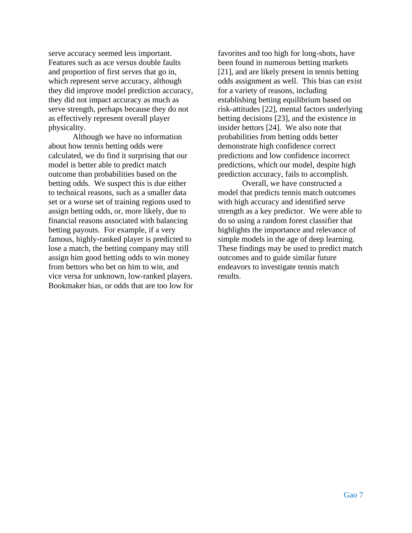serve accuracy seemed less important. Features such as ace versus double faults and proportion of first serves that go in, which represent serve accuracy, although they did improve model prediction accuracy, they did not impact accuracy as much as serve strength, perhaps because they do not as effectively represent overall player physicality.

Although we have no information about how tennis betting odds were calculated, we do find it surprising that our model is better able to predict match outcome than probabilities based on the betting odds. We suspect this is due either to technical reasons, such as a smaller data set or a worse set of training regions used to assign betting odds, or, more likely, due to financial reasons associated with balancing betting payouts. For example, if a very famous, highly-ranked player is predicted to lose a match, the betting company may still assign him good betting odds to win money from bettors who bet on him to win, and vice versa for unknown, low-ranked players. Bookmaker bias, or odds that are too low for favorites and too high for long-shots, have been found in numerous betting markets [21], and are likely present in tennis betting odds assignment as well. This bias can exist for a variety of reasons, including establishing betting equilibrium based on risk-attitudes [22], mental factors underlying betting decisions [23], and the existence in insider bettors [24]. We also note that probabilities from betting odds better demonstrate high confidence correct predictions and low confidence incorrect predictions, which our model, despite high prediction accuracy, fails to accomplish.

Overall, we have constructed a model that predicts tennis match outcomes with high accuracy and identified serve strength as a key predictor. We were able to do so using a random forest classifier that highlights the importance and relevance of simple models in the age of deep learning. These findings may be used to predict match outcomes and to guide similar future endeavors to investigate tennis match results.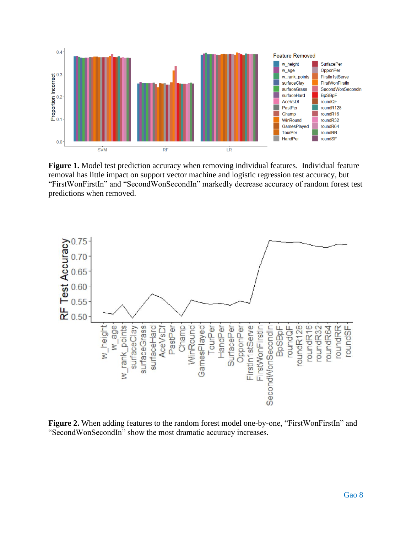

**Figure 1.** Model test prediction accuracy when removing individual features. Individual feature removal has little impact on support vector machine and logistic regression test accuracy, but "FirstWonFirstIn" and "SecondWonSecondIn" markedly decrease accuracy of random forest test predictions when removed.



**Figure 2.** When adding features to the random forest model one-by-one, "FirstWonFirstIn" and "SecondWonSecondIn" show the most dramatic accuracy increases.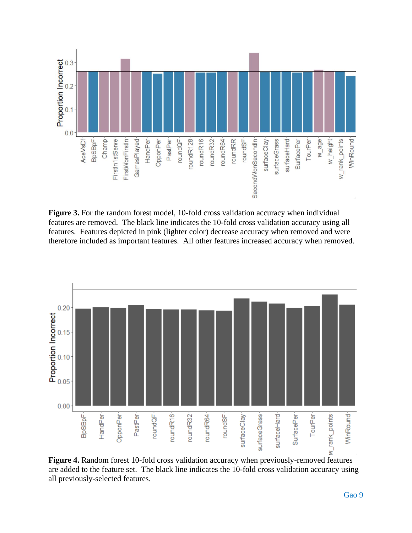

**Figure 3.** For the random forest model, 10-fold cross validation accuracy when individual features are removed. The black line indicates the 10-fold cross validation accuracy using all features. Features depicted in pink (lighter color) decrease accuracy when removed and were therefore included as important features. All other features increased accuracy when removed.



**Figure 4.** Random forest 10-fold cross validation accuracy when previously-removed features are added to the feature set. The black line indicates the 10-fold cross validation accuracy using all previously-selected features.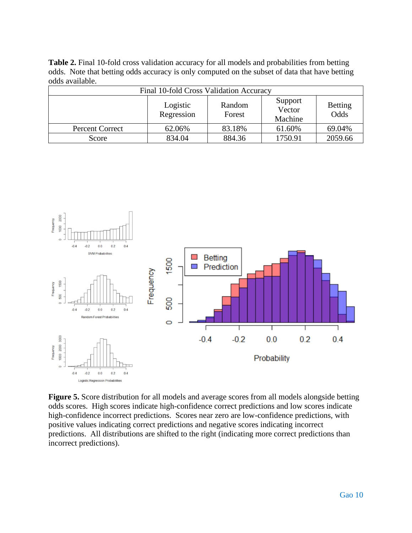**Table 2.** Final 10-fold cross validation accuracy for all models and probabilities from betting odds. Note that betting odds accuracy is only computed on the subset of data that have betting odds available.

| Final 10-fold Cross Validation Accuracy |                        |                  |                              |                        |  |  |  |
|-----------------------------------------|------------------------|------------------|------------------------------|------------------------|--|--|--|
|                                         | Logistic<br>Regression | Random<br>Forest | Support<br>Vector<br>Machine | <b>Betting</b><br>Odds |  |  |  |
| <b>Percent Correct</b>                  | 62.06%                 | 83.18%           | 61.60%                       | 69.04%                 |  |  |  |
| Score                                   | 834.04                 | 884.36           | 1750.91                      | 2059.66                |  |  |  |



**Figure 5.** Score distribution for all models and average scores from all models alongside betting odds scores. High scores indicate high-confidence correct predictions and low scores indicate high-confidence incorrect predictions. Scores near zero are low-confidence predictions, with positive values indicating correct predictions and negative scores indicating incorrect predictions. All distributions are shifted to the right (indicating more correct predictions than incorrect predictions).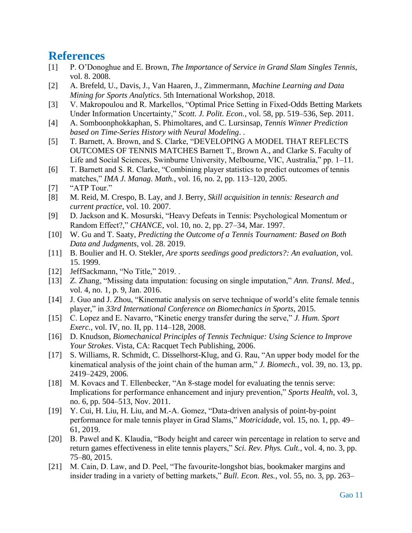## **References**

- [1] P. O'Donoghue and E. Brown, *The Importance of Service in Grand Slam Singles Tennis*, vol. 8. 2008.
- [2] A. Brefeld, U., Davis, J., Van Haaren, J., Zimmermann, *Machine Learning and Data Mining for Sports Analytics*. 5th International Workshop, 2018.
- [3] V. Makropoulou and R. Markellos, "Optimal Price Setting in Fixed-Odds Betting Markets Under Information Uncertainty," *Scott. J. Polit. Econ.*, vol. 58, pp. 519–536, Sep. 2011.
- [4] A. Somboonphokkaphan, S. Phimoltares, and C. Lursinsap, *Tennis Winner Prediction based on Time-Series History with Neural Modeling*. .
- [5] T. Barnett, A. Brown, and S. Clarke, "DEVELOPING A MODEL THAT REFLECTS OUTCOMES OF TENNIS MATCHES Barnett T., Brown A., and Clarke S. Faculty of Life and Social Sciences, Swinburne University, Melbourne, VIC, Australia," pp. 1–11.
- [6] T. Barnett and S. R. Clarke, "Combining player statistics to predict outcomes of tennis matches," *IMA J. Manag. Math.*, vol. 16, no. 2, pp. 113–120, 2005.
- [7] "ATP Tour."
- [8] M. Reid, M. Crespo, B. Lay, and J. Berry, *Skill acquisition in tennis: Research and current practice*, vol. 10. 2007.
- [9] D. Jackson and K. Mosurski, "Heavy Defeats in Tennis: Psychological Momentum or Random Effect?," *CHANCE*, vol. 10, no. 2, pp. 27–34, Mar. 1997.
- [10] W. Gu and T. Saaty, *Predicting the Outcome of a Tennis Tournament: Based on Both Data and Judgments*, vol. 28. 2019.
- [11] B. Boulier and H. O. Stekler, *Are sports seedings good predictors?: An evaluation*, vol. 15. 1999.
- [12] JeffSackmann, "No Title," 2019. .
- [13] Z. Zhang, "Missing data imputation: focusing on single imputation," *Ann. Transl. Med.*, vol. 4, no. 1, p. 9, Jan. 2016.
- [14] J. Guo and J. Zhou, "Kinematic analysis on serve technique of world's elite female tennis player," in *33rd International Conference on Biomechanics in Sports*, 2015.
- [15] C. Lopez and E. Navarro, "Kinetic energy transfer during the serve," *J. Hum. Sport Exerc.*, vol. IV, no. II, pp. 114–128, 2008.
- [16] D. Knudson, *Biomechanical Principles of Tennis Technique: Using Science to Improve Your Strokes*. Vista, CA: Racquet Tech Publishing, 2006.
- [17] S. Williams, R. Schmidt, C. Disselhorst-Klug, and G. Rau, "An upper body model for the kinematical analysis of the joint chain of the human arm," *J. Biomech.*, vol. 39, no. 13, pp. 2419–2429, 2006.
- [18] M. Kovacs and T. Ellenbecker, "An 8-stage model for evaluating the tennis serve: Implications for performance enhancement and injury prevention," *Sports Health*, vol. 3, no. 6, pp. 504–513, Nov. 2011.
- [19] Y. Cui, H. Liu, H. Liu, and M.-A. Gomez, "Data-driven analysis of point-by-point performance for male tennis player in Grad Slams," *Motricidade*, vol. 15, no. 1, pp. 49– 61, 2019.
- [20] B. Pawel and K. Klaudia, "Body height and career win percentage in relation to serve and return games effectiveness in elite tennis players," *Sci. Rev. Phys. Cult.*, vol. 4, no. 3, pp. 75–80, 2015.
- [21] M. Cain, D. Law, and D. Peel, "The favourite-longshot bias, bookmaker margins and insider trading in a variety of betting markets," *Bull. Econ. Res.*, vol. 55, no. 3, pp. 263–